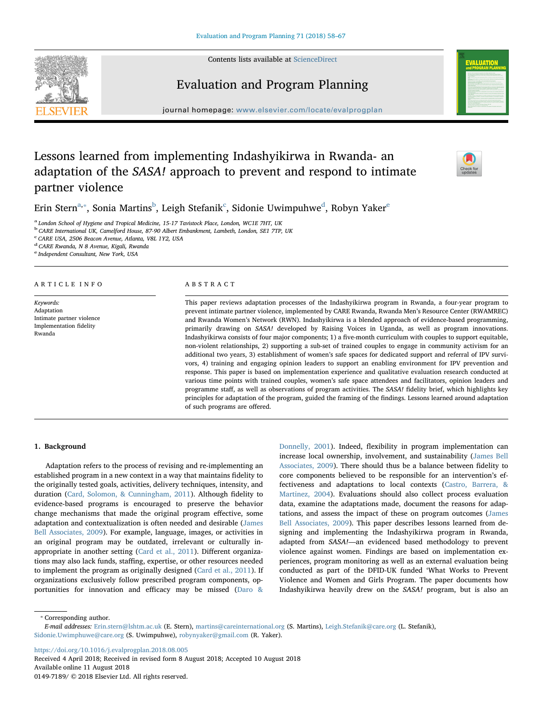Contents lists available at [ScienceDirect](http://www.sciencedirect.com/science/journal/01497189)





## Evaluation and Program Planning

journal homepage: [www.elsevier.com/locate/evalprogplan](https://www.elsevier.com/locate/evalprogplan)

# Lessons learned from implementing Indashyikirwa in Rwanda- an adaptation of the SASA! approach to prevent and respond to intimate partner violence



Erin St[e](#page-0-5)rn $^{\rm a, *}$  $^{\rm a, *}$  $^{\rm a, *}$ , Sonia Martins $^{\rm b}$  $^{\rm b}$  $^{\rm b}$ , Leigh Stefanik $^{\rm c}$  $^{\rm c}$  $^{\rm c}$ , Sidonie Uwimpuhwe $^{\rm d}$ , Robyn Yaker $^{\rm e}$ 

<span id="page-0-0"></span><sup>a</sup> London School of Hygiene and Tropical Medicine, 15-17 Tavistock Place, London, WC1E 7HT, UK

<span id="page-0-2"></span><sup>b</sup> CARE International UK, Camelford House, 87-90 Albert Embankment, Lambeth, London, SE1 7TP, UK

<span id="page-0-3"></span><sup>c</sup> CARE USA, 2506 Beacon Avenue, Atlanta, V8L 1Y2, USA

<span id="page-0-4"></span><sup>d</sup> CARE Rwanda, N 8 Avenue, Kigali, Rwanda

<span id="page-0-5"></span><sup>e</sup> Independent Consultant, New York, USA

#### ARTICLE INFO

Keywords: Adaptation Intimate partner violence Implementation fidelity Rwanda

## ABSTRACT

This paper reviews adaptation processes of the Indashyikirwa program in Rwanda, a four-year program to prevent intimate partner violence, implemented by CARE Rwanda, Rwanda Men's Resource Center (RWAMREC) and Rwanda Women's Network (RWN). Indashyikirwa is a blended approach of evidence-based programming, primarily drawing on SASA! developed by Raising Voices in Uganda, as well as program innovations. Indashyikirwa consists of four major components; 1) a five-month curriculum with couples to support equitable, non-violent relationships, 2) supporting a sub-set of trained couples to engage in community activism for an additional two years, 3) establishment of women's safe spaces for dedicated support and referral of IPV survivors, 4) training and engaging opinion leaders to support an enabling environment for IPV prevention and response. This paper is based on implementation experience and qualitative evaluation research conducted at various time points with trained couples, women's safe space attendees and facilitators, opinion leaders and programme staff, as well as observations of program activities. The SASA! fidelity brief, which highlights key principles for adaptation of the program, guided the framing of the findings. Lessons learned around adaptation of such programs are offered.

## 1. Background

Adaptation refers to the process of revising and re-implementing an established program in a new context in a way that maintains fidelity to the originally tested goals, activities, delivery techniques, intensity, and duration ([Card, Solomon, & Cunningham, 2011](#page-9-0)). Although fidelity to evidence-based programs is encouraged to preserve the behavior change mechanisms that made the original program effective, some adaptation and contextualization is often needed and desirable ([James](#page-9-1) [Bell Associates, 2009\)](#page-9-1). For example, language, images, or activities in an original program may be outdated, irrelevant or culturally inappropriate in another setting ([Card et al., 2011](#page-9-0)). Different organizations may also lack funds, staffing, expertise, or other resources needed to implement the program as originally designed [\(Card et al., 2011\)](#page-9-0). If organizations exclusively follow prescribed program components, opportunities for innovation and efficacy may be missed [\(Daro &](#page-9-2)

[Donnelly, 2001\)](#page-9-2). Indeed, flexibility in program implementation can increase local ownership, involvement, and sustainability [\(James Bell](#page-9-1) [Associates, 2009\)](#page-9-1). There should thus be a balance between fidelity to core components believed to be responsible for an intervention's effectiveness and adaptations to local contexts ([Castro, Barrera, &](#page-9-3) [Martinez, 2004](#page-9-3)). Evaluations should also collect process evaluation data, examine the adaptations made, document the reasons for adaptations, and assess the impact of these on program outcomes ([James](#page-9-1) [Bell Associates, 2009\)](#page-9-1). This paper describes lessons learned from designing and implementing the Indashyikirwa program in Rwanda, adapted from SASA!—an evidenced based methodology to prevent violence against women. Findings are based on implementation experiences, program monitoring as well as an external evaluation being conducted as part of the DFID-UK funded 'What Works to Prevent Violence and Women and Girls Program. The paper documents how Indashyikirwa heavily drew on the SASA! program, but is also an

<span id="page-0-1"></span>⁎ Corresponding author.

<https://doi.org/10.1016/j.evalprogplan.2018.08.005>

Received 4 April 2018; Received in revised form 8 August 2018; Accepted 10 August 2018 Available online 11 August 2018 0149-7189/ © 2018 Elsevier Ltd. All rights reserved.

E-mail addresses: [Erin.stern@lshtm.ac.uk](mailto:Erin.stern@lshtm.ac.uk) (E. Stern), [martins@careinternational.org](mailto:martins@careinternational.org) (S. Martins), [Leigh.Stefanik@care.org](mailto:Leigh.Stefanik@care.org) (L. Stefanik), [Sidonie.Uwimphuwe@care.org](mailto:Sidonie.Uwimphuwe@care.org) (S. Uwimpuhwe), [robynyaker@gmail.com](mailto:robynyaker@gmail.com) (R. Yaker).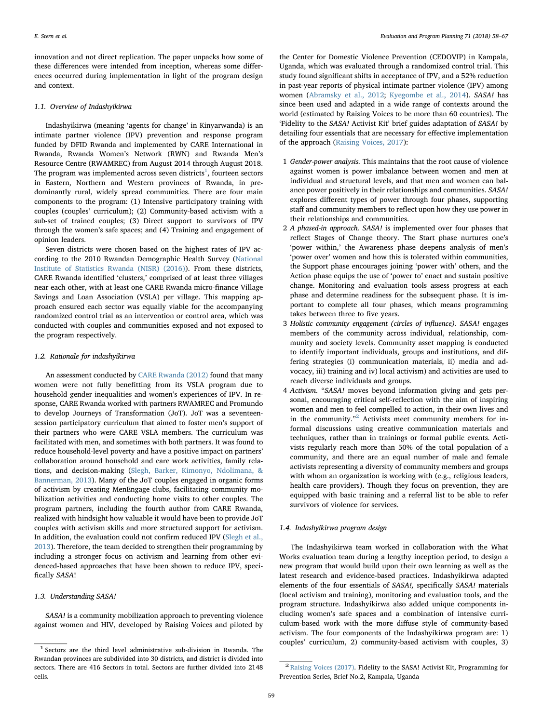innovation and not direct replication. The paper unpacks how some of these differences were intended from inception, whereas some differences occurred during implementation in light of the program design and context.

## 1.1. Overview of Indashyikirwa

Indashyikirwa (meaning 'agents for change' in Kinyarwanda) is an intimate partner violence (IPV) prevention and response program funded by DFID Rwanda and implemented by CARE International in Rwanda, Rwanda Women's Network (RWN) and Rwanda Men's Resource Centre (RWAMREC) from August 2014 through August 2018. The program was implemented across seven districts<sup>[1](#page-1-0)</sup>, fourteen sectors in Eastern, Northern and Western provinces of Rwanda, in predominantly rural, widely spread communities. There are four main components to the program: (1) Intensive participatory training with couples (couples' curriculum); (2) Community-based activism with a sub-set of trained couples; (3) Direct support to survivors of IPV through the women's safe spaces; and (4) Training and engagement of opinion leaders.

Seven districts were chosen based on the highest rates of IPV according to the 2010 Rwandan Demographic Health Survey [\(National](#page-9-4) [Institute of Statistics Rwanda \(NISR\) \(2016\)](#page-9-4)). From these districts, CARE Rwanda identified 'clusters,' comprised of at least three villages near each other, with at least one CARE Rwanda micro-finance Village Savings and Loan Association (VSLA) per village. This mapping approach ensured each sector was equally viable for the accompanying randomized control trial as an intervention or control area, which was conducted with couples and communities exposed and not exposed to the program respectively.

## 1.2. Rationale for indashyikirwa

An assessment conducted by [CARE Rwanda \(2012\)](#page-9-5) found that many women were not fully benefitting from its VSLA program due to household gender inequalities and women's experiences of IPV. In response, CARE Rwanda worked with partners RWAMREC and Promundo to develop Journeys of Transformation (JoT). JoT was a seventeensession participatory curriculum that aimed to foster men's support of their partners who were CARE VSLA members. The curriculum was facilitated with men, and sometimes with both partners. It was found to reduce household-level poverty and have a positive impact on partners' collaboration around household and care work activities, family relations, and decision-making ([Slegh, Barker, Kimonyo, Ndolimana, &](#page-9-6) [Bannerman, 2013\)](#page-9-6). Many of the JoT couples engaged in organic forms of activism by creating MenEngage clubs, facilitating community mobilization activities and conducting home visits to other couples. The program partners, including the fourth author from CARE Rwanda, realized with hindsight how valuable it would have been to provide JoT couples with activism skills and more structured support for activism. In addition, the evaluation could not confirm reduced IPV [\(Slegh et al.,](#page-9-6) [2013\)](#page-9-6). Therefore, the team decided to strengthen their programming by including a stronger focus on activism and learning from other evidenced-based approaches that have been shown to reduce IPV, specifically SASA!

#### 1.3. Understanding SASA!

SASA! is a community mobilization approach to preventing violence against women and HIV, developed by Raising Voices and piloted by

the Center for Domestic Violence Prevention (CEDOVIP) in Kampala, Uganda, which was evaluated through a randomized control trial. This study found significant shifts in acceptance of IPV, and a 52% reduction in past-year reports of physical intimate partner violence (IPV) among women [\(Abramsky et al., 2012;](#page-9-7) [Kyegombe et al., 2014](#page-9-8)). SASA! has since been used and adapted in a wide range of contexts around the world (estimated by Raising Voices to be more than 60 countries). The 'Fidelity to the SASA! Activist Kit' brief guides adaptation of SASA! by detailing four essentials that are necessary for effective implementation of the approach [\(Raising Voices, 2017\)](#page-9-9):

- 1 Gender-power analysis. This maintains that the root cause of violence against women is power imbalance between women and men at individual and structural levels, and that men and women can balance power positively in their relationships and communities. SASA! explores different types of power through four phases, supporting staff and community members to reflect upon how they use power in their relationships and communities.
- 2 A phased-in approach. SASA! is implemented over four phases that reflect Stages of Change theory. The Start phase nurtures one's 'power within,' the Awareness phase deepens analysis of men's 'power over' women and how this is tolerated within communities, the Support phase encourages joining 'power with' others, and the Action phase equips the use of 'power to' enact and sustain positive change. Monitoring and evaluation tools assess progress at each phase and determine readiness for the subsequent phase. It is important to complete all four phases, which means programming takes between three to five years.
- 3 Holistic community engagement (circles of influence). SASA! engages members of the community across individual, relationship, community and society levels. Community asset mapping is conducted to identify important individuals, groups and institutions, and differing strategies (i) communication materials, ii) media and advocacy, iii) training and iv) local activism) and activities are used to reach diverse individuals and groups.
- 4 Activism. "SASA! moves beyond information giving and gets personal, encouraging critical self-reflection with the aim of inspiring women and men to feel compelled to action, in their own lives and in the community."[2](#page-1-1) Activists meet community members for informal discussions using creative communication materials and techniques, rather than in trainings or formal public events. Activists regularly reach more than 50% of the total population of a community, and there are an equal number of male and female activists representing a diversity of community members and groups with whom an organization is working with (e.g., religious leaders, health care providers). Though they focus on prevention, they are equipped with basic training and a referral list to be able to refer survivors of violence for services.

## 1.4. Indashyikirwa program design

The Indashyikirwa team worked in collaboration with the What Works evaluation team during a lengthy inception period, to design a new program that would build upon their own learning as well as the latest research and evidence-based practices. Indashyikirwa adapted elements of the four essentials of SASA!, specifically SASA! materials (local activism and training), monitoring and evaluation tools, and the program structure. Indashyikirwa also added unique components including women's safe spaces and a combination of intensive curriculum-based work with the more diffuse style of community-based activism. The four components of the Indashyikirwa program are: 1)  $\frac{1}{1}$  Sectors are the third level administrative sub-division in Rwanda. The couples' curriculum, 2) community-based activism with couples, 3)

<span id="page-1-0"></span>Rwandan provinces are subdivided into 30 districts, and district is divided into sectors. There are 416 Sectors in total. Sectors are further divided into 2148 cells.

<span id="page-1-1"></span><sup>2</sup> [Raising Voices \(2017\).](#page-9-9) Fidelity to the SASA! Activist Kit, Programming for Prevention Series, Brief No.2, Kampala, Uganda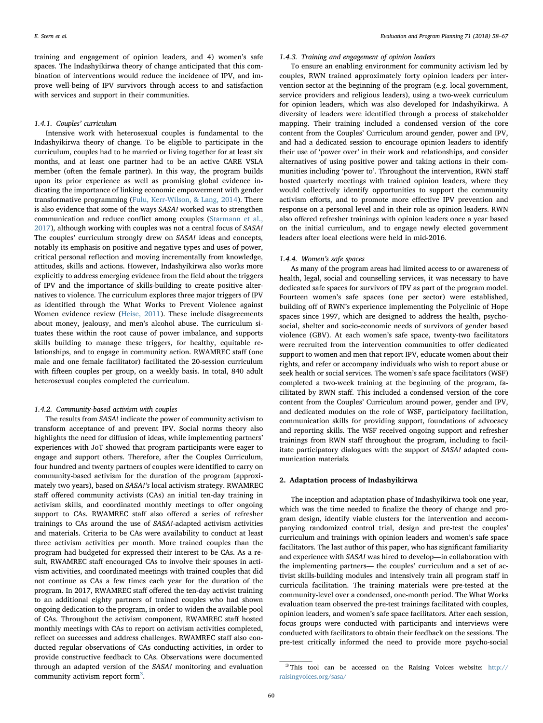training and engagement of opinion leaders, and 4) women's safe spaces. The Indashyikirwa theory of change anticipated that this combination of interventions would reduce the incidence of IPV, and improve well-being of IPV survivors through access to and satisfaction with services and support in their communities.

## 1.4.1. Couples' curriculum

Intensive work with heterosexual couples is fundamental to the Indashyikirwa theory of change. To be eligible to participate in the curriculum, couples had to be married or living together for at least six months, and at least one partner had to be an active CARE VSLA member (often the female partner). In this way, the program builds upon its prior experience as well as promising global evidence indicating the importance of linking economic empowerment with gender transformative programming [\(Fulu, Kerr-Wilson, & Lang, 2014\)](#page-9-10). There is also evidence that some of the ways SASA! worked was to strengthen communication and reduce conflict among couples [\(Starmann et al.,](#page-9-11) [2017\)](#page-9-11), although working with couples was not a central focus of SASA! The couples' curriculum strongly drew on SASA! ideas and concepts, notably its emphasis on positive and negative types and uses of power, critical personal reflection and moving incrementally from knowledge, attitudes, skills and actions. However, Indashyikirwa also works more explicitly to address emerging evidence from the field about the triggers of IPV and the importance of skills-building to create positive alternatives to violence. The curriculum explores three major triggers of IPV as identified through the What Works to Prevent Violence against Women evidence review [\(Heise, 2011](#page-9-12)). These include disagreements about money, jealousy, and men's alcohol abuse. The curriculum situates these within the root cause of power imbalance, and supports skills building to manage these triggers, for healthy, equitable relationships, and to engage in community action. RWAMREC staff (one male and one female facilitator) facilitated the 20-session curriculum with fifteen couples per group, on a weekly basis. In total, 840 adult heterosexual couples completed the curriculum.

## 1.4.2. Community-based activism with couples

The results from SASA! indicate the power of community activism to transform acceptance of and prevent IPV. Social norms theory also highlights the need for diffusion of ideas, while implementing partners' experiences with JoT showed that program participants were eager to engage and support others. Therefore, after the Couples Curriculum, four hundred and twenty partners of couples were identified to carry on community-based activism for the duration of the program (approximately two years), based on SASA!'s local activism strategy. RWAMREC staff offered community activists (CAs) an initial ten-day training in activism skills, and coordinated monthly meetings to offer ongoing support to CAs. RWAMREC staff also offered a series of refresher trainings to CAs around the use of SASA!-adapted activism activities and materials. Criteria to be CAs were availability to conduct at least three activism activities per month. More trained couples than the program had budgeted for expressed their interest to be CAs. As a result, RWAMREC staff encouraged CAs to involve their spouses in activism activities, and coordinated meetings with trained couples that did not continue as CAs a few times each year for the duration of the program. In 2017, RWAMREC staff offered the ten-day activist training to an additional eighty partners of trained couples who had shown ongoing dedication to the program, in order to widen the available pool of CAs. Throughout the activism component, RWAMREC staff hosted monthly meetings with CAs to report on activism activities completed, reflect on successes and address challenges. RWAMREC staff also conducted regular observations of CAs conducting activities, in order to provide constructive feedback to CAs. Observations were documented through an adapted version of the SASA! monitoring and evaluation community activism report form<sup>[3](#page-2-0)</sup>.

## 1.4.3. Training and engagement of opinion leaders

To ensure an enabling environment for community activism led by couples, RWN trained approximately forty opinion leaders per intervention sector at the beginning of the program (e.g. local government, service providers and religious leaders), using a two-week curriculum for opinion leaders, which was also developed for Indashyikirwa. A diversity of leaders were identified through a process of stakeholder mapping. Their training included a condensed version of the core content from the Couples' Curriculum around gender, power and IPV, and had a dedicated session to encourage opinion leaders to identify their use of 'power over' in their work and relationships, and consider alternatives of using positive power and taking actions in their communities including 'power to'. Throughout the intervention, RWN staff hosted quarterly meetings with trained opinion leaders, where they would collectively identify opportunities to support the community activism efforts, and to promote more effective IPV prevention and response on a personal level and in their role as opinion leaders. RWN also offered refresher trainings with opinion leaders once a year based on the initial curriculum, and to engage newly elected government leaders after local elections were held in mid-2016.

#### 1.4.4. Women's safe spaces

As many of the program areas had limited access to or awareness of health, legal, social and counselling services, it was necessary to have dedicated safe spaces for survivors of IPV as part of the program model. Fourteen women's safe spaces (one per sector) were established, building off of RWN's experience implementing the Polyclinic of Hope spaces since 1997, which are designed to address the health, psychosocial, shelter and socio-economic needs of survivors of gender based violence (GBV). At each women's safe space, twenty-two facilitators were recruited from the intervention communities to offer dedicated support to women and men that report IPV, educate women about their rights, and refer or accompany individuals who wish to report abuse or seek health or social services. The women's safe space facilitators (WSF) completed a two-week training at the beginning of the program, facilitated by RWN staff. This included a condensed version of the core content from the Couples' Curriculum around power, gender and IPV, and dedicated modules on the role of WSF, participatory facilitation, communication skills for providing support, foundations of advocacy and reporting skills. The WSF received ongoing support and refresher trainings from RWN staff throughout the program, including to facilitate participatory dialogues with the support of SASA! adapted communication materials.

## 2. Adaptation process of Indashyikirwa

The inception and adaptation phase of Indashyikirwa took one year, which was the time needed to finalize the theory of change and program design, identify viable clusters for the intervention and accompanying randomized control trial, design and pre-test the couples' curriculum and trainings with opinion leaders and women's safe space facilitators. The last author of this paper, who has significant familiarity and experience with SASA! was hired to develop—in collaboration with the implementing partners— the couples' curriculum and a set of activist skills-building modules and intensively train all program staff in curricula facilitation. The training materials were pre-tested at the community-level over a condensed, one-month period. The What Works evaluation team observed the pre-test trainings facilitated with couples, opinion leaders, and women's safe space facilitators. After each session, focus groups were conducted with participants and interviews were conducted with facilitators to obtain their feedback on the sessions. The pre-test critically informed the need to provide more psycho-social

<span id="page-2-0"></span><sup>3</sup> This tool can be accessed on the Raising Voices website: [http://](http://raisingvoices.org/sasa/) [raisingvoices.org/sasa/](http://raisingvoices.org/sasa/)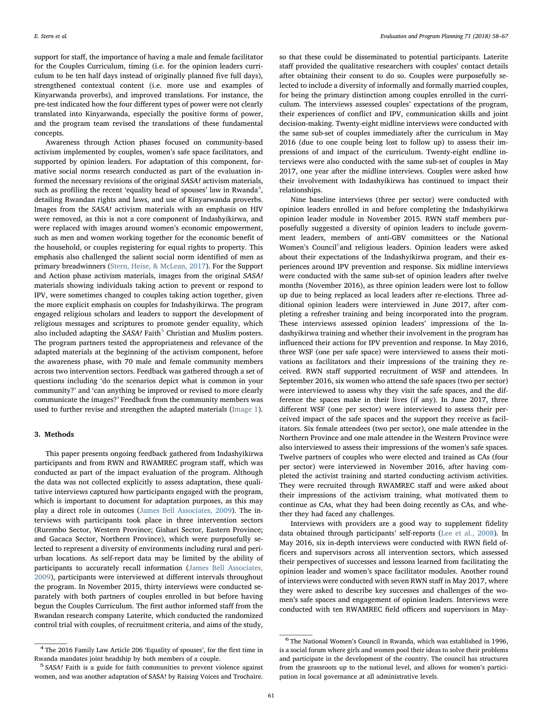support for staff, the importance of having a male and female facilitator for the Couples Curriculum, timing (i.e. for the opinion leaders curriculum to be ten half days instead of originally planned five full days), strengthened contextual content (i.e. more use and examples of Kinyarwanda proverbs), and improved translations. For instance, the pre-test indicated how the four different types of power were not clearly translated into Kinyarwanda, especially the positive forms of power, and the program team revised the translations of these fundamental concepts.

Awareness through Action phases focused on community-based activism implemented by couples, women's safe space facilitators, and supported by opinion leaders. For adaptation of this component, formative social norms research conducted as part of the evaluation informed the necessary revisions of the original SASA! activism materials, such as profiling the recent 'equality head of spouses' law in Rwanda<sup>[4](#page-3-0)</sup>, detailing Rwandan rights and laws, and use of Kinyarwanda proverbs. Images from the SASA! activism materials with an emphasis on HIV were removed, as this is not a core component of Indashyikirwa, and were replaced with images around women's economic empowerment, such as men and women working together for the economic benefit of the household, or couples registering for equal rights to property. This emphasis also challenged the salient social norm identified of men as primary breadwinners [\(Stern, Heise, & McLean, 2017\)](#page-9-13). For the Support and Action phase activism materials, images from the original SASA! materials showing individuals taking action to prevent or respond to IPV, were sometimes changed to couples taking action together, given the more explicit emphasis on couples for Indashyikirwa. The program engaged religious scholars and leaders to support the development of religious messages and scriptures to promote gender equality, which also included adapting the SASA! Faith  $^5$  $^5$  Christian and Muslim posters. The program partners tested the appropriateness and relevance of the adapted materials at the beginning of the activism component, before the awareness phase, with 70 male and female community members across two intervention sectors. Feedback was gathered through a set of questions including 'do the scenarios depict what is common in your community?' and 'can anything be improved or revised to more clearly communicate the images?' Feedback from the community members was used to further revise and strengthen the adapted materials ([Image 1](#page-4-0)).

## 3. Methods

This paper presents ongoing feedback gathered from Indashyikirwa participants and from RWN and RWAMREC program staff, which was conducted as part of the impact evaluation of the program. Although the data was not collected explicitly to assess adaptation, these qualitative interviews captured how participants engaged with the program, which is important to document for adaptation purposes, as this may play a direct role in outcomes [\(James Bell Associates, 2009](#page-9-1)). The interviews with participants took place in three intervention sectors (Rurembo Sector, Western Province; Gishari Sector, Eastern Province; and Gacaca Sector, Northern Province), which were purposefully selected to represent a diversity of environments including rural and periurban locations. As self-report data may be limited by the ability of participants to accurately recall information [\(James Bell Associates,](#page-9-1) [2009\)](#page-9-1), participants were interviewed at different intervals throughout the program. In November 2015, thirty interviews were conducted separately with both partners of couples enrolled in but before having begun the Couples Curriculum. The first author informed staff from the Rwandan research company Laterite, which conducted the randomized control trial with couples, of recruitment criteria, and aims of the study,

so that these could be disseminated to potential participants. Laterite staff provided the qualitative researchers with couples' contact details after obtaining their consent to do so. Couples were purposefully selected to include a diversity of informally and formally married couples, for being the primary distinction among couples enrolled in the curriculum. The interviews assessed couples' expectations of the program, their experiences of conflict and IPV, communication skills and joint decision-making. Twenty-eight midline interviews were conducted with the same sub-set of couples immediately after the curriculum in May 2016 (due to one couple being lost to follow up) to assess their impressions of and impact of the curriculum. Twenty-eight endline interviews were also conducted with the same sub-set of couples in May 2017, one year after the midline interviews. Couples were asked how their involvement with Indashyikirwa has continued to impact their relationships.

Nine baseline interviews (three per sector) were conducted with opinion leaders enrolled in and before completing the Indashyikirwa opinion leader module in November 2015. RWN staff members purposefully suggested a diversity of opinion leaders to include government leaders, members of anti-GBV committees or the National Women's Council<sup>[6](#page-3-2)</sup>and religious leaders. Opinion leaders were asked about their expectations of the Indashyikirwa program, and their experiences around IPV prevention and response. Six midline interviews were conducted with the same sub-set of opinion leaders after twelve months (November 2016), as three opinion leaders were lost to follow up due to being replaced as local leaders after re-elections. Three additional opinion leaders were interviewed in June 2017, after completing a refresher training and being incorporated into the program. These interviews assessed opinion leaders' impressions of the Indashyikirwa training and whether their involvement in the program has influenced their actions for IPV prevention and response. In May 2016, three WSF (one per safe space) were interviewed to assess their motivations as facilitators and their impressions of the training they received. RWN staff supported recruitment of WSF and attendees. In September 2016, six women who attend the safe spaces (two per sector) were interviewed to assess why they visit the safe spaces, and the difference the spaces make in their lives (if any). In June 2017, three different WSF (one per sector) were interviewed to assess their perceived impact of the safe spaces and the support they receive as facilitators. Six female attendees (two per sector), one male attendee in the Northern Province and one male attendee in the Western Province were also interviewed to assess their impressions of the women's safe spaces. Twelve partners of couples who were elected and trained as CAs (four per sector) were interviewed in November 2016, after having completed the activist training and started conducting activism activities. They were recruited through RWAMREC staff and were asked about their impressions of the activism training, what motivated them to continue as CAs, what they had been doing recently as CAs, and whether they had faced any challenges.

Interviews with providers are a good way to supplement fidelity data obtained through participants' self-reports [\(Lee et al., 2008\)](#page-9-14). In May 2016, six in-depth interviews were conducted with RWN field officers and supervisors across all intervention sectors, which assessed their perspectives of successes and lessons learned from facilitating the opinion leader and women's space facilitator modules. Another round of interviews were conducted with seven RWN staff in May 2017, where they were asked to describe key successes and challenges of the women's safe spaces and engagement of opinion leaders. Interviews were conducted with ten RWAMREC field officers and supervisors in May-

<span id="page-3-0"></span><sup>4</sup> The 2016 Family Law Article 206 'Equality of spouses', for the first time in Rwanda mandates joint headship by both members of a couple. <sup>5</sup> SASA! Faith is a guide for faith communities to prevent violence against

<span id="page-3-1"></span>women, and was another adaptation of SASA! by Raising Voices and Trochaire.

<span id="page-3-2"></span><sup>6</sup> The National Women's Council in Rwanda, which was established in 1996, is a social forum where girls and women pool their ideas to solve their problems and participate in the development of the country. The council has structures from the grassroots up to the national level, and allows for women's participation in local governance at all administrative levels.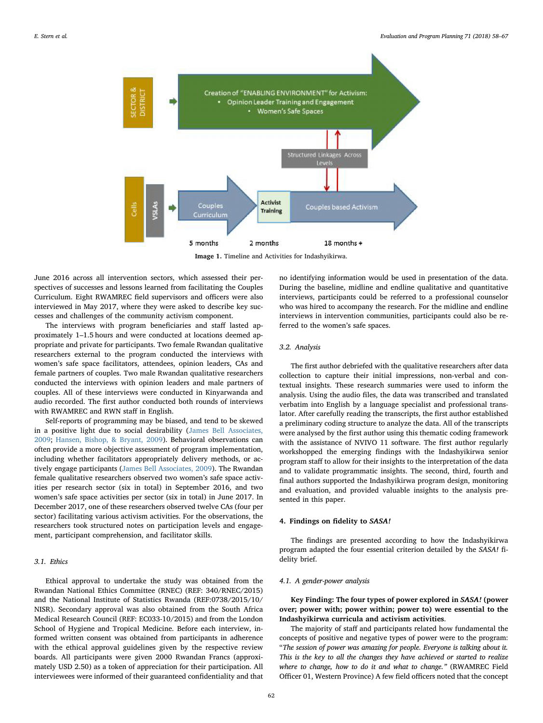<span id="page-4-0"></span>

Image 1. Timeline and Activities for Indashyikirwa.

June 2016 across all intervention sectors, which assessed their perspectives of successes and lessons learned from facilitating the Couples Curriculum. Eight RWAMREC field supervisors and officers were also interviewed in May 2017, where they were asked to describe key successes and challenges of the community activism component.

The interviews with program beneficiaries and staff lasted approximately 1–1.5 hours and were conducted at locations deemed appropriate and private for participants. Two female Rwandan qualitative researchers external to the program conducted the interviews with women's safe space facilitators, attendees, opinion leaders, CAs and female partners of couples. Two male Rwandan qualitative researchers conducted the interviews with opinion leaders and male partners of couples. All of these interviews were conducted in Kinyarwanda and audio recorded. The first author conducted both rounds of interviews with RWAMREC and RWN staff in English.

Self-reports of programming may be biased, and tend to be skewed in a positive light due to social desirability [\(James Bell Associates,](#page-9-1) [2009;](#page-9-1) [Hansen, Bishop, & Bryant, 2009\)](#page-9-15). Behavioral observations can often provide a more objective assessment of program implementation, including whether facilitators appropriately delivery methods, or actively engage participants [\(James Bell Associates, 2009](#page-9-1)). The Rwandan female qualitative researchers observed two women's safe space activities per research sector (six in total) in September 2016, and two women's safe space activities per sector (six in total) in June 2017. In December 2017, one of these researchers observed twelve CAs (four per sector) facilitating various activism activities. For the observations, the researchers took structured notes on participation levels and engagement, participant comprehension, and facilitator skills.

## 3.1. Ethics

Ethical approval to undertake the study was obtained from the Rwandan National Ethics Committee (RNEC) (REF: 340/RNEC/2015) and the National Institute of Statistics Rwanda (REF:0738/2015/10/ NISR). Secondary approval was also obtained from the South Africa Medical Research Council (REF: EC033-10/2015) and from the London School of Hygiene and Tropical Medicine. Before each interview, informed written consent was obtained from participants in adherence with the ethical approval guidelines given by the respective review boards. All participants were given 2000 Rwandan Francs (approximately USD 2.50) as a token of appreciation for their participation. All interviewees were informed of their guaranteed confidentiality and that no identifying information would be used in presentation of the data. During the baseline, midline and endline qualitative and quantitative interviews, participants could be referred to a professional counselor who was hired to accompany the research. For the midline and endline interviews in intervention communities, participants could also be referred to the women's safe spaces.

## 3.2. Analysis

The first author debriefed with the qualitative researchers after data collection to capture their initial impressions, non-verbal and contextual insights. These research summaries were used to inform the analysis. Using the audio files, the data was transcribed and translated verbatim into English by a language specialist and professional translator. After carefully reading the transcripts, the first author established a preliminary coding structure to analyze the data. All of the transcripts were analysed by the first author using this thematic coding framework with the assistance of NVIVO 11 software. The first author regularly workshopped the emerging findings with the Indashyikirwa senior program staff to allow for their insights to the interpretation of the data and to validate programmatic insights. The second, third, fourth and final authors supported the Indashyikirwa program design, monitoring and evaluation, and provided valuable insights to the analysis presented in this paper.

## 4. Findings on fidelity to SASA!

The findings are presented according to how the Indashyikirwa program adapted the four essential criterion detailed by the SASA! fidelity brief.

## 4.1. A gender-power analysis

Key Finding: The four types of power explored in SASA! (power over; power with; power within; power to) were essential to the Indashyikirwa curricula and activism activities.

The majority of staff and participants related how fundamental the concepts of positive and negative types of power were to the program: "The session of power was amazing for people. Everyone is talking about it. This is the key to all the changes they have achieved or started to realize where to change, how to do it and what to change." (RWAMREC Field Officer 01, Western Province) A few field officers noted that the concept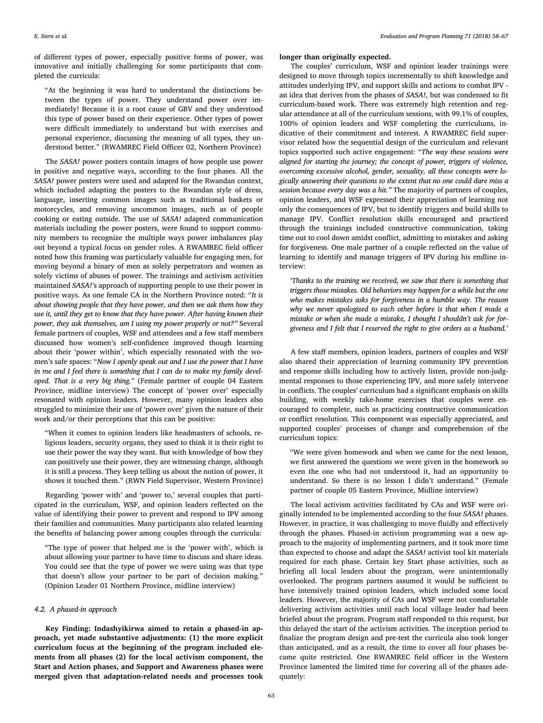of different types of power, especially positive forms of power, was innovative and initially challenging for some participants that completed the curricula:

"At the beginning it was hard to understand the distinctions between the types of power. They understand power over immediately! Because it is a root cause of GBV and they understood this type of power based on their experience. Other types of power were difficult immediately to understand but with exercises and personal experience, discussing the meaning of all types, they understood better." (RWAMREC Field Officer 02, Northern Province)

The SASA! power posters contain images of how people use power in positive and negative ways, according to the four phases. All the SASA! power posters were used and adapted for the Rwandan context, which included adapting the posters to the Rwandan style of dress, language, inserting common images such as traditional baskets or motorcycles, and removing uncommon images, such as of people cooking or eating outside. The use of SASA! adapted communication materials including the power posters, were found to support community members to recognize the multiple ways power imbalances play out beyond a typical focus on gender roles. A RWAMREC field officer noted how this framing was particularly valuable for engaging men, for moving beyond a binary of men as solely perpetrators and women as solely victims of abuses of power. The trainings and activism activities maintained SASA!'s approach of supporting people to use their power in positive ways. As one female CA in the Northern Province noted: "It is about showing people that they have power, and then we ask them how they use it, until they get to know that they have power. After having known their power, they ask themselves, am I using my power properly or not?" Several female partners of couples, WSF and attendees and a few staff members discussed how women's self-confidence improved though learning about their 'power within', which especially resonated with the women's safe spaces: "Now I openly speak out and I use the power that I have in me and I feel there is something that I can do to make my family developed. That is a very big thing." (Female partner of couple 04 Eastern Province, midline interview) The concept of 'power over' especially resonated with opinion leaders. However, many opinion leaders also struggled to minimize their use of 'power over' given the nature of their work and/or their perceptions that this can be positive:

"When it comes to opinion leaders like headmasters of schools, religious leaders, security organs, they used to think it is their right to use their power the way they want. But with knowledge of how they can positively use their power, they are witnessing change, although it is still a process. They keep telling us about the notion of power, it shows it touched them." (RWN Field Supervisor, Western Province)

Regarding 'power with' and 'power to,' several couples that participated in the curriculum, WSF, and opinion leaders reflected on the value of identifying their power to prevent and respond to IPV among their families and communities. Many participants also related learning the benefits of balancing power among couples through the curricula:

"The type of power that helped me is the 'power with', which is about allowing your partner to have time to discuss and share ideas. You could see that the type of power we were using was that type that doesn't allow your partner to be part of decision making.' (Opinion Leader 01 Northern Province, midline interview)

## 4.2. A phased-in approach

Key Finding: Indashyikirwa aimed to retain a phased-in approach, yet made substantive adjustments: (1) the more explicit curriculum focus at the beginning of the program included elements from all phases (2) for the local activism component, the Start and Action phases, and Support and Awareness phases were merged given that adaptation-related needs and processes took

#### longer than originally expected.

The couples' curriculum, WSF and opinion leader trainings were designed to move through topics incrementally to shift knowledge and attitudes underlying IPV, and support skills and actions to combat IPV an idea that derives from the phases of SASA!, but was condensed to fit curriculum-based work. There was extremely high retention and regular attendance at all of the curriculum sessions, with 99.1% of couples, 100% of opinion leaders and WSF completing the curriculums, indicative of their commitment and interest. A RWAMREC field supervisor related how the sequential design of the curriculum and relevant topics supported such active engagement: "The way these sessions were aligned for starting the journey; the concept of power, triggers of violence, overcoming excessive alcohol, gender, sexuality, all these concepts were logically answering their questions to the extent that no one could dare miss a session because every day was a hit." The majority of partners of couples, opinion leaders, and WSF expressed their appreciation of learning not only the consequences of IPV, but to identify triggers and build skills to manage IPV. Conflict resolution skills encouraged and practiced through the trainings included constructive communication, taking time out to cool down amidst conflict, admitting to mistakes and asking for forgiveness. One male partner of a couple reflected on the value of learning to identify and manage triggers of IPV during his endline interview:

'Thanks to the training we received, we saw that there is something that triggers those mistakes. Old behaviors may happen for a while but the one who makes mistakes asks for forgiveness in a humble way. The reason why we never apologized to each other before is that when I made a mistake or when she made a mistake, I thought I shouldn't ask for forgiveness and I felt that I reserved the right to give orders as a husband.'

A few staff members, opinion leaders, partners of couples and WSF also shared their appreciation of learning community IPV prevention and response skills including how to actively listen, provide non-judgmental responses to those experiencing IPV, and more safely intervene in conflicts. The couples' curriculum had a significant emphasis on skills building, with weekly take-home exercises that couples were encouraged to complete, such as practicing constructive communication or conflict resolution. This component was especially appreciated, and supported couples' processes of change and comprehension of the curriculum topics:

"We were given homework and when we came for the next lesson, we first answered the questions we were given in the homework so even the one who had not understood it, had an opportunity to understand. So there is no lesson I didn't understand." (Female partner of couple 05 Eastern Province, Midline interview)

The local activism activities facilitated by CAs and WSF were originally intended to be implemented according to the four SASA! phases. However, in practice, it was challenging to move fluidly and effectively through the phases. Phased-in activism programming was a new approach to the majority of implementing partners, and it took more time than expected to choose and adapt the SASA! activist tool kit materials required for each phase. Certain key Start phase activities, such as briefing all local leaders about the program, were unintentionally overlooked. The program partners assumed it would be sufficient to have intensively trained opinion leaders, which included some local leaders. However, the majority of CAs and WSF were not comfortable delivering activism activities until each local village leader had been briefed about the program. Program staff responded to this request, but this delayed the start of the activism activities. The inception period to finalize the program design and pre-test the curricula also took longer than anticipated, and as a result, the time to cover all four phases became quite restricted. One RWAMREC field officer in the Western Province lamented the limited time for covering all of the phases adequately: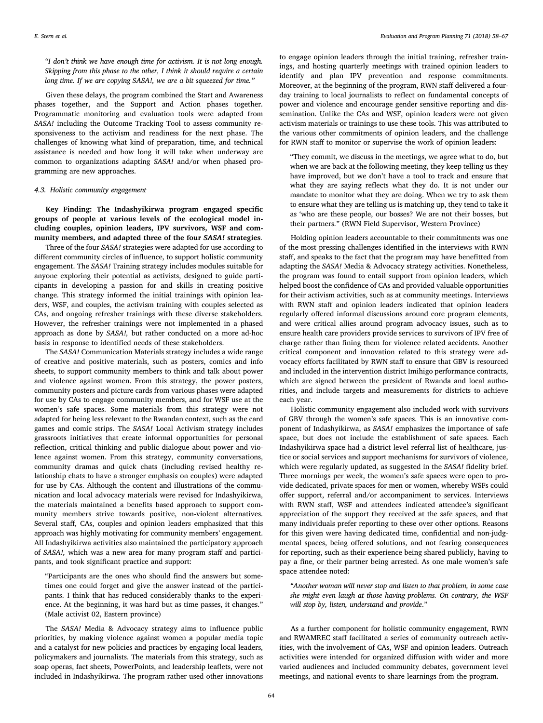"I don't think we have enough time for activism. It is not long enough. Skipping from this phase to the other, I think it should require a certain long time. If we are copying SASA!, we are a bit squeezed for time."

Given these delays, the program combined the Start and Awareness phases together, and the Support and Action phases together. Programmatic monitoring and evaluation tools were adapted from SASA! including the Outcome Tracking Tool to assess community responsiveness to the activism and readiness for the next phase. The challenges of knowing what kind of preparation, time, and technical assistance is needed and how long it will take when underway are common to organizations adapting SASA! and/or when phased programming are new approaches.

## 4.3. Holistic community engagement

Key Finding: The Indashyikirwa program engaged specific groups of people at various levels of the ecological model including couples, opinion leaders, IPV survivors, WSF and community members, and adapted three of the four SASA! strategies.

Three of the four SASA! strategies were adapted for use according to different community circles of influence, to support holistic community engagement. The SASA! Training strategy includes modules suitable for anyone exploring their potential as activists, designed to guide participants in developing a passion for and skills in creating positive change. This strategy informed the initial trainings with opinion leaders, WSF, and couples, the activism training with couples selected as CAs, and ongoing refresher trainings with these diverse stakeholders. However, the refresher trainings were not implemented in a phased approach as done by SASA!, but rather conducted on a more ad-hoc basis in response to identified needs of these stakeholders.

The SASA! Communication Materials strategy includes a wide range of creative and positive materials, such as posters, comics and info sheets, to support community members to think and talk about power and violence against women. From this strategy, the power posters, community posters and picture cards from various phases were adapted for use by CAs to engage community members, and for WSF use at the women's safe spaces. Some materials from this strategy were not adapted for being less relevant to the Rwandan context, such as the card games and comic strips. The SASA! Local Activism strategy includes grassroots initiatives that create informal opportunities for personal reflection, critical thinking and public dialogue about power and violence against women. From this strategy, community conversations, community dramas and quick chats (including revised healthy relationship chats to have a stronger emphasis on couples) were adapted for use by CAs. Although the content and illustrations of the communication and local advocacy materials were revised for Indashyikirwa, the materials maintained a benefits based approach to support community members strive towards positive, non-violent alternatives. Several staff, CAs, couples and opinion leaders emphasized that this approach was highly motivating for community members' engagement. All Indashyikirwa activities also maintained the participatory approach of SASA!, which was a new area for many program staff and participants, and took significant practice and support:

"Participants are the ones who should find the answers but sometimes one could forget and give the answer instead of the participants. I think that has reduced considerably thanks to the experience. At the beginning, it was hard but as time passes, it changes." (Male activist 02, Eastern province)

The SASA! Media & Advocacy strategy aims to influence public priorities, by making violence against women a popular media topic and a catalyst for new policies and practices by engaging local leaders, policymakers and journalists. The materials from this strategy, such as soap operas, fact sheets, PowerPoints, and leadership leaflets, were not included in Indashyikirwa. The program rather used other innovations

to engage opinion leaders through the initial training, refresher trainings, and hosting quarterly meetings with trained opinion leaders to identify and plan IPV prevention and response commitments. Moreover, at the beginning of the program, RWN staff delivered a fourday training to local journalists to reflect on fundamental concepts of power and violence and encourage gender sensitive reporting and dissemination. Unlike the CAs and WSF, opinion leaders were not given activism materials or trainings to use these tools. This was attributed to the various other commitments of opinion leaders, and the challenge for RWN staff to monitor or supervise the work of opinion leaders:

"They commit, we discuss in the meetings, we agree what to do, but when we are back at the following meeting, they keep telling us they have improved, but we don't have a tool to track and ensure that what they are saying reflects what they do. It is not under our mandate to monitor what they are doing. When we try to ask them to ensure what they are telling us is matching up, they tend to take it as 'who are these people, our bosses? We are not their bosses, but their partners." (RWN Field Supervisor, Western Province)

Holding opinion leaders accountable to their commitments was one of the most pressing challenges identified in the interviews with RWN staff, and speaks to the fact that the program may have benefitted from adapting the SASA! Media & Advocacy strategy activities. Nonetheless, the program was found to entail support from opinion leaders, which helped boost the confidence of CAs and provided valuable opportunities for their activism activities, such as at community meetings. Interviews with RWN staff and opinion leaders indicated that opinion leaders regularly offered informal discussions around core program elements, and were critical allies around program advocacy issues, such as to ensure health care providers provide services to survivors of IPV free of charge rather than fining them for violence related accidents. Another critical component and innovation related to this strategy were advocacy efforts facilitated by RWN staff to ensure that GBV is resourced and included in the intervention district Imihigo performance contracts, which are signed between the president of Rwanda and local authorities, and include targets and measurements for districts to achieve each year.

Holistic community engagement also included work with survivors of GBV through the women's safe spaces. This is an innovative component of Indashyikirwa, as SASA! emphasizes the importance of safe space, but does not include the establishment of safe spaces. Each Indashyikirwa space had a district level referral list of healthcare, justice or social services and support mechanisms for survivors of violence, which were regularly updated, as suggested in the SASA! fidelity brief. Three mornings per week, the women's safe spaces were open to provide dedicated, private spaces for men or women, whereby WSFs could offer support, referral and/or accompaniment to services. Interviews with RWN staff, WSF and attendees indicated attendee's significant appreciation of the support they received at the safe spaces, and that many individuals prefer reporting to these over other options. Reasons for this given were having dedicated time, confidential and non-judgmental spaces, being offered solutions, and not fearing consequences for reporting, such as their experience being shared publicly, having to pay a fine, or their partner being arrested. As one male women's safe space attendee noted:

"Another woman will never stop and listen to that problem, in some case she might even laugh at those having problems. On contrary, the WSF will stop by, listen, understand and provide."

As a further component for holistic community engagement, RWN and RWAMREC staff facilitated a series of community outreach activities, with the involvement of CAs, WSF and opinion leaders. Outreach activities were intended for organized diffusion with wider and more varied audiences and included community debates, government level meetings, and national events to share learnings from the program.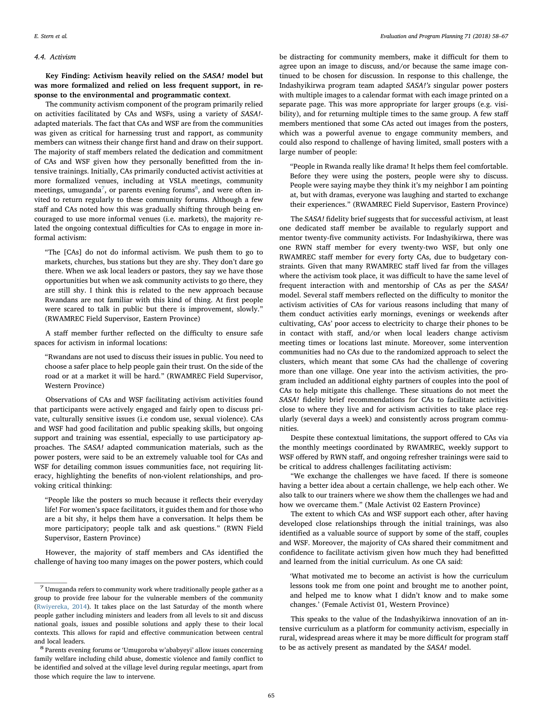#### 4.4. Activism

Key Finding: Activism heavily relied on the SASA! model but was more formalized and relied on less frequent support, in response to the environmental and programmatic context.

The community activism component of the program primarily relied on activities facilitated by CAs and WSFs, using a variety of SASA! adapted materials. The fact that CAs and WSF are from the communities was given as critical for harnessing trust and rapport, as community members can witness their change first hand and draw on their support. The majority of staff members related the dedication and commitment of CAs and WSF given how they personally benefitted from the intensive trainings. Initially, CAs primarily conducted activist activities at more formalized venues, including at VSLA meetings, community meetings, umuganda<sup>[7](#page-7-0)</sup>, or parents evening forums<sup>[8](#page-7-1)</sup>, and were often invited to return regularly to these community forums. Although a few staff and CAs noted how this was gradually shifting through being encouraged to use more informal venues (i.e. markets), the majority related the ongoing contextual difficulties for CAs to engage in more informal activism:

"The [CAs] do not do informal activism. We push them to go to markets, churches, bus stations but they are shy. They don't dare go there. When we ask local leaders or pastors, they say we have those opportunities but when we ask community activists to go there, they are still shy. I think this is related to the new approach because Rwandans are not familiar with this kind of thing. At first people were scared to talk in public but there is improvement, slowly." (RWAMREC Field Supervisor, Eastern Province)

A staff member further reflected on the difficulty to ensure safe spaces for activism in informal locations:

"Rwandans are not used to discuss their issues in public. You need to choose a safer place to help people gain their trust. On the side of the road or at a market it will be hard." (RWAMREC Field Supervisor, Western Province)

Observations of CAs and WSF facilitating activism activities found that participants were actively engaged and fairly open to discuss private, culturally sensitive issues (i.e condom use, sexual violence). CAs and WSF had good facilitation and public speaking skills, but ongoing support and training was essential, especially to use participatory approaches. The SASA! adapted communication materials, such as the power posters, were said to be an extremely valuable tool for CAs and WSF for detailing common issues communities face, not requiring literacy, highlighting the benefits of non-violent relationships, and provoking critical thinking:

"People like the posters so much because it reflects their everyday life! For women's space facilitators, it guides them and for those who are a bit shy, it helps them have a conversation. It helps them be more participatory; people talk and ask questions." (RWN Field Supervisor, Eastern Province)

However, the majority of staff members and CAs identified the challenge of having too many images on the power posters, which could be distracting for community members, make it difficult for them to agree upon an image to discuss, and/or because the same image continued to be chosen for discussion. In response to this challenge, the Indashyikirwa program team adapted SASA!'s singular power posters with multiple images to a calendar format with each image printed on a separate page. This was more appropriate for larger groups (e.g. visibility), and for returning multiple times to the same group. A few staff members mentioned that some CAs acted out images from the posters, which was a powerful avenue to engage community members, and could also respond to challenge of having limited, small posters with a large number of people:

"People in Rwanda really like drama! It helps them feel comfortable. Before they were using the posters, people were shy to discuss. People were saying maybe they think it's my neighbor I am pointing at, but with dramas, everyone was laughing and started to exchange their experiences." (RWAMREC Field Supervisor, Eastern Province)

The SASA! fidelity brief suggests that for successful activism, at least one dedicated staff member be available to regularly support and mentor twenty-five community activists. For Indashyikirwa, there was one RWN staff member for every twenty-two WSF, but only one RWAMREC staff member for every forty CAs, due to budgetary constraints. Given that many RWAMREC staff lived far from the villages where the activism took place, it was difficult to have the same level of frequent interaction with and mentorship of CAs as per the SASA! model. Several staff members reflected on the difficulty to monitor the activism activities of CAs for various reasons including that many of them conduct activities early mornings, evenings or weekends after cultivating, CAs' poor access to electricity to charge their phones to be in contact with staff, and/or when local leaders change activism meeting times or locations last minute. Moreover, some intervention communities had no CAs due to the randomized approach to select the clusters, which meant that some CAs had the challenge of covering more than one village. One year into the activism activities, the program included an additional eighty partners of couples into the pool of CAs to help mitigate this challenge. These situations do not meet the SASA! fidelity brief recommendations for CAs to facilitate activities close to where they live and for activism activities to take place regularly (several days a week) and consistently across program communities.

Despite these contextual limitations, the support offered to CAs via the monthly meetings coordinated by RWAMREC, weekly support to WSF offered by RWN staff, and ongoing refresher trainings were said to be critical to address challenges facilitating activism:

"We exchange the challenges we have faced. If there is someone having a better idea about a certain challenge, we help each other. We also talk to our trainers where we show them the challenges we had and how we overcame them." (Male Activist 02 Eastern Province)

The extent to which CAs and WSF support each other, after having developed close relationships through the initial trainings, was also identified as a valuable source of support by some of the staff, couples and WSF. Moreover, the majority of CAs shared their commitment and confidence to facilitate activism given how much they had benefitted and learned from the initial curriculum. As one CA said:

'What motivated me to become an activist is how the curriculum lessons took me from one point and brought me to another point, and helped me to know what I didn't know and to make some changes.' (Female Activist 01, Western Province)

This speaks to the value of the Indashyikirwa innovation of an intensive curriculum as a platform for community activism, especially in rural, widespread areas where it may be more difficult for program staff to be as actively present as mandated by the SASA! model.

<span id="page-7-0"></span> $^7$ Umuganda refers to community work where traditionally people gather as a group to provide free labour for the vulnerable members of the community [\(Rwiyereka, 2014](#page-9-16)). It takes place on the last Saturday of the month where people gather including ministers and leaders from all levels to sit and discuss national goals, issues and possible solutions and apply these to their local contexts. This allows for rapid and effective communication between central and local leaders.

<span id="page-7-1"></span><sup>8</sup> Parents evening forums or 'Umugoroba w'ababyeyi' allow issues concerning family welfare including child abuse, domestic violence and family conflict to be identified and solved at the village level during regular meetings, apart from those which require the law to intervene.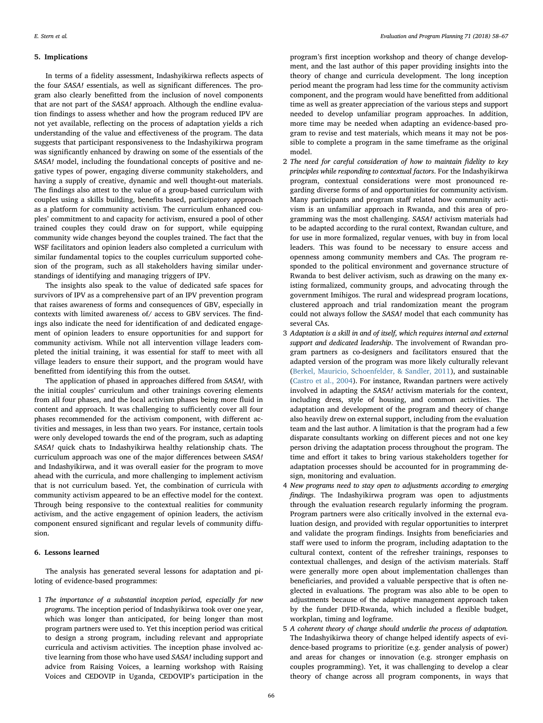## 5. Implications

In terms of a fidelity assessment, Indashyikirwa reflects aspects of the four SASA! essentials, as well as significant differences. The program also clearly benefitted from the inclusion of novel components that are not part of the SASA! approach. Although the endline evaluation findings to assess whether and how the program reduced IPV are not yet available, reflecting on the process of adaptation yields a rich understanding of the value and effectiveness of the program. The data suggests that participant responsiveness to the Indashyikirwa program was significantly enhanced by drawing on some of the essentials of the SASA! model, including the foundational concepts of positive and negative types of power, engaging diverse community stakeholders, and having a supply of creative, dynamic and well thought-out materials. The findings also attest to the value of a group-based curriculum with couples using a skills building, benefits based, participatory approach as a platform for community activism. The curriculum enhanced couples' commitment to and capacity for activism, ensured a pool of other trained couples they could draw on for support, while equipping community wide changes beyond the couples trained. The fact that the WSF facilitators and opinion leaders also completed a curriculum with similar fundamental topics to the couples curriculum supported cohesion of the program, such as all stakeholders having similar understandings of identifying and managing triggers of IPV.

The insights also speak to the value of dedicated safe spaces for survivors of IPV as a comprehensive part of an IPV prevention program that raises awareness of forms and consequences of GBV, especially in contexts with limited awareness of/ access to GBV services. The findings also indicate the need for identification of and dedicated engagement of opinion leaders to ensure opportunities for and support for community activism. While not all intervention village leaders completed the initial training, it was essential for staff to meet with all village leaders to ensure their support, and the program would have benefitted from identifying this from the outset.

The application of phased in approaches differed from SASA!, with the initial couples' curriculum and other trainings covering elements from all four phases, and the local activism phases being more fluid in content and approach. It was challenging to sufficiently cover all four phases recommended for the activism component, with different activities and messages, in less than two years. For instance, certain tools were only developed towards the end of the program, such as adapting SASA! quick chats to Indashyikirwa healthy relationship chats. The curriculum approach was one of the major differences between SASA! and Indashyikirwa, and it was overall easier for the program to move ahead with the curricula, and more challenging to implement activism that is not curriculum based. Yet, the combination of curricula with community activism appeared to be an effective model for the context. Through being responsive to the contextual realities for community activism, and the active engagement of opinion leaders, the activism component ensured significant and regular levels of community diffusion.

## 6. Lessons learned

The analysis has generated several lessons for adaptation and piloting of evidence-based programmes:

1 The importance of a substantial inception period, especially for new programs. The inception period of Indashyikirwa took over one year, which was longer than anticipated, for being longer than most program partners were used to. Yet this inception period was critical to design a strong program, including relevant and appropriate curricula and activism activities. The inception phase involved active learning from those who have used SASA! including support and advice from Raising Voices, a learning workshop with Raising Voices and CEDOVIP in Uganda, CEDOVIP's participation in the

program's first inception workshop and theory of change development, and the last author of this paper providing insights into the theory of change and curricula development. The long inception period meant the program had less time for the community activism component, and the program would have benefitted from additional time as well as greater appreciation of the various steps and support needed to develop unfamiliar program approaches. In addition, more time may be needed when adapting an evidence-based program to revise and test materials, which means it may not be possible to complete a program in the same timeframe as the original model.

- 2 The need for careful consideration of how to maintain fidelity to key principles while responding to contextual factors. For the Indashyikirwa program, contextual considerations were most pronounced regarding diverse forms of and opportunities for community activism. Many participants and program staff related how community activism is an unfamiliar approach in Rwanda, and this area of programming was the most challenging. SASA! activism materials had to be adapted according to the rural context, Rwandan culture, and for use in more formalized, regular venues, with buy in from local leaders. This was found to be necessary to ensure access and openness among community members and CAs. The program responded to the political environment and governance structure of Rwanda to best deliver activism, such as drawing on the many existing formalized, community groups, and advocating through the government Imihigos. The rural and widespread program locations, clustered approach and trial randomization meant the program could not always follow the SASA! model that each community has several CAs.
- 3 Adaptation is a skill in and of itself, which requires internal and external support and dedicated leadership. The involvement of Rwandan program partners as co-designers and facilitators ensured that the adapted version of the program was more likely culturally relevant [\(Berkel, Mauricio, Schoenfelder, & Sandler, 2011](#page-9-17)), and sustainable [\(Castro et al., 2004\)](#page-9-3). For instance, Rwandan partners were actively involved in adapting the SASA! activism materials for the context, including dress, style of housing, and common activities. The adaptation and development of the program and theory of change also heavily drew on external support, including from the evaluation team and the last author. A limitation is that the program had a few disparate consultants working on different pieces and not one key person driving the adaptation process throughout the program. The time and effort it takes to bring various stakeholders together for adaptation processes should be accounted for in programming design, monitoring and evaluation.
- 4 New programs need to stay open to adjustments according to emerging findings. The Indashyikirwa program was open to adjustments through the evaluation research regularly informing the program. Program partners were also critically involved in the external evaluation design, and provided with regular opportunities to interpret and validate the program findings. Insights from beneficiaries and staff were used to inform the program, including adaptation to the cultural context, content of the refresher trainings, responses to contextual challenges, and design of the activism materials. Staff were generally more open about implementation challenges than beneficiaries, and provided a valuable perspective that is often neglected in evaluations. The program was also able to be open to adjustments because of the adaptive management approach taken by the funder DFID-Rwanda, which included a flexible budget, workplan, timing and logframe.
- 5 A coherent theory of change should underlie the process of adaptation. The Indashyikirwa theory of change helped identify aspects of evidence-based programs to prioritize (e.g. gender analysis of power) and areas for changes or innovation (e.g. stronger emphasis on couples programming). Yet, it was challenging to develop a clear theory of change across all program components, in ways that